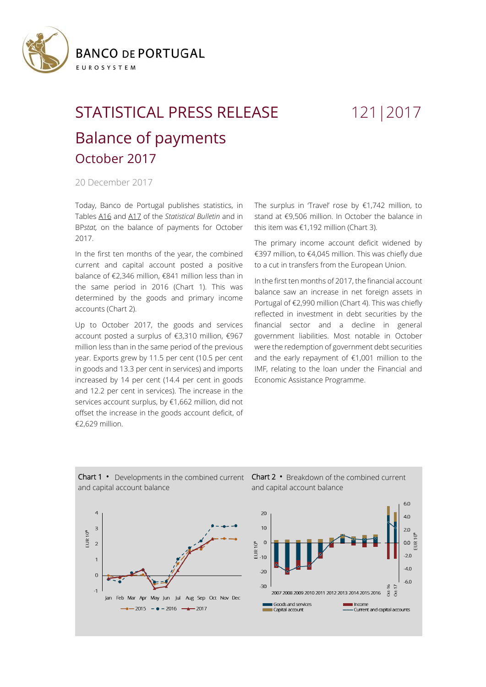

## STATISTICAL PRESS RELEASE 121|2017 Balance of payments October 2017

## 20 December 2017

Today, Banco de Portugal publishes statistics, in Tables [A16](https://www.bportugal.pt/sites/default/files/anexos/16-balanca_pagamentos_en.pdf) and [A17](https://www.bportugal.pt/sites/default/files/anexos/17-comercio_internacional_bens_servicos_en.pdf) of the *Statistical Bulletin* and in BP*stat,* on the balance of payments for October 2017.

In the first ten months of the year, the combined current and capital account posted a positive balance of €2,346 million, €841 million less than in the same period in 2016 (Chart 1). This was determined by the goods and primary income accounts (Chart 2).

Up to October 2017, the goods and services account posted a surplus of €3,310 million, €967 million less than in the same period of the previous year. Exports grew by 11.5 per cent (10.5 per cent in goods and 13.3 per cent in services) and imports increased by 14 per cent (14.4 per cent in goods and 12.2 per cent in services). The increase in the services account surplus, by €1,662 million, did not offset the increase in the goods account deficit, of €2,629 million.

The surplus in 'Travel' rose by  $£1,742$  million, to stand at €9,506 million. In October the balance in this item was €1,192 million (Chart 3).

The primary income account deficit widened by €397 million, to €4,045 million. This was chiefly due to a cut in transfers from the European Union.

In the first ten months of 2017, the financial account balance saw an increase in net foreign assets in Portugal of €2,990 million (Chart 4). This was chiefly reflected in investment in debt securities by the financial sector and a decline in general government liabilities. Most notable in October were the redemption of government debt securities and the early repayment of €1,001 million to the IMF, relating to the loan under the Financial and Economic Assistance Programme.



Chart 1 **•** Developments in the combined current and capital account balance

Chart 2 **•** Breakdown of the combined current and capital account balance